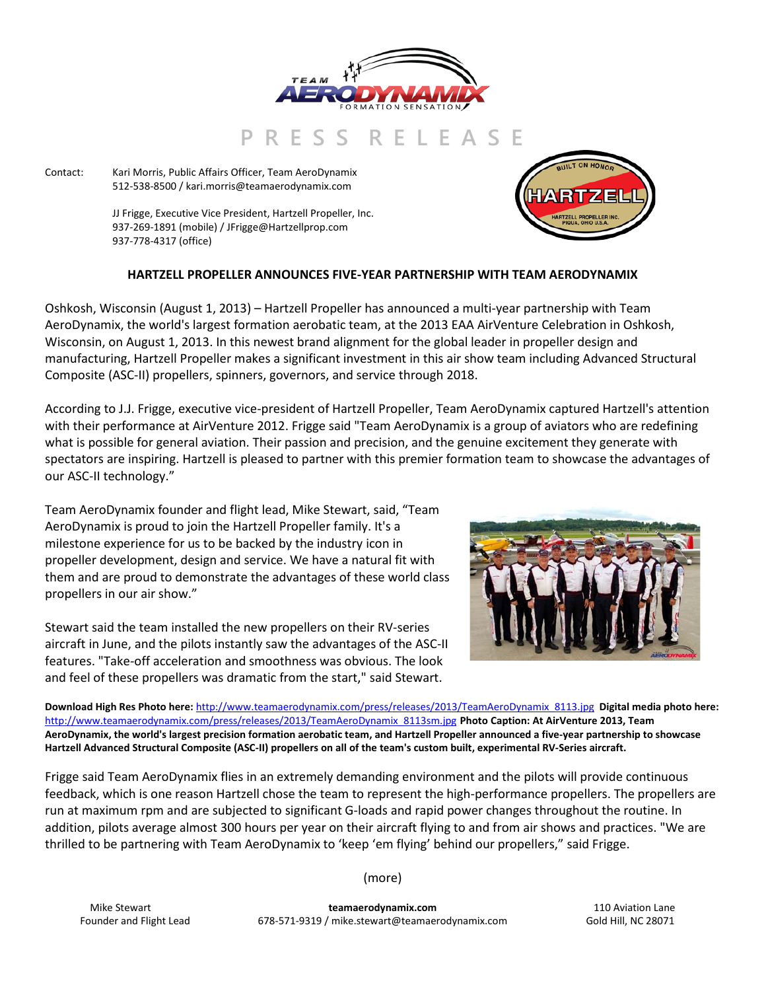



Contact: Kari Morris, Public Affairs Officer, Team AeroDynamix 512-538-8500 / kari.morris@teamaerodynamix.com

> JJ Frigge, Executive Vice President, Hartzell Propeller, Inc. 937-269-1891 (mobile) / JFrigge@Hartzellprop.com 937-778-4317 (office)

## **HARTZELL PROPELLER ANNOUNCES FIVE-YEAR PARTNERSHIP WITH TEAM AERODYNAMIX**

Oshkosh, Wisconsin (August 1, 2013) – Hartzell Propeller has announced a multi-year partnership with Team AeroDynamix, the world's largest formation aerobatic team, at the 2013 EAA AirVenture Celebration in Oshkosh, Wisconsin, on August 1, 2013. In this newest brand alignment for the global leader in propeller design and manufacturing, Hartzell Propeller makes a significant investment in this air show team including Advanced Structural Composite (ASC-II) propellers, spinners, governors, and service through 2018.

According to J.J. Frigge, executive vice-president of Hartzell Propeller, Team AeroDynamix captured Hartzell's attention with their performance at AirVenture 2012. Frigge said "Team AeroDynamix is a group of aviators who are redefining what is possible for general aviation. Their passion and precision, and the genuine excitement they generate with spectators are inspiring. Hartzell is pleased to partner with this premier formation team to showcase the advantages of our ASC-II technology."

Team AeroDynamix founder and flight lead, Mike Stewart, said, "Team AeroDynamix is proud to join the Hartzell Propeller family. It's a milestone experience for us to be backed by the industry icon in propeller development, design and service. We have a natural fit with them and are proud to demonstrate the advantages of these world class propellers in our air show."

Stewart said the team installed the new propellers on their RV-series aircraft in June, and the pilots instantly saw the advantages of the ASC-II features. "Take-off acceleration and smoothness was obvious. The look and feel of these propellers was dramatic from the start," said Stewart.



**Download High Res Photo here:** [http://www.teamaerodynamix.com/press/releases/2013/TeamAeroDynamix\\_8113.jpg](http://www.teamaerodynamix.com/press/releases/2013/TeamAeroDynamix_8113.jpg) **Digital media photo here:**  [http://www.teamaerodynamix.com/press/releases/2013/TeamAeroDynamix\\_8113sm.jpg](http://www.teamaerodynamix.com/press/releases/2013/TeamAeroDynamix_8113sm.jpg) **Photo Caption: At AirVenture 2013, Team AeroDynamix, the world's largest precision formation aerobatic team, and Hartzell Propeller announced a five-year partnership to showcase Hartzell Advanced Structural Composite (ASC-II) propellers on all of the team's custom built, experimental RV-Series aircraft.**

Frigge said Team AeroDynamix flies in an extremely demanding environment and the pilots will provide continuous feedback, which is one reason Hartzell chose the team to represent the high-performance propellers. The propellers are run at maximum rpm and are subjected to significant G-loads and rapid power changes throughout the routine. In addition, pilots average almost 300 hours per year on their aircraft flying to and from air shows and practices. "We are thrilled to be partnering with Team AeroDynamix to 'keep 'em flying' behind our propellers," said Frigge.

(more)

Mike Stewart **teamaerodynamix.com** 110 Aviation Lane Founder and Flight Lead 678-571-9319 / mike.stewart@teamaerodynamix.com Gold Hill, NC 28071